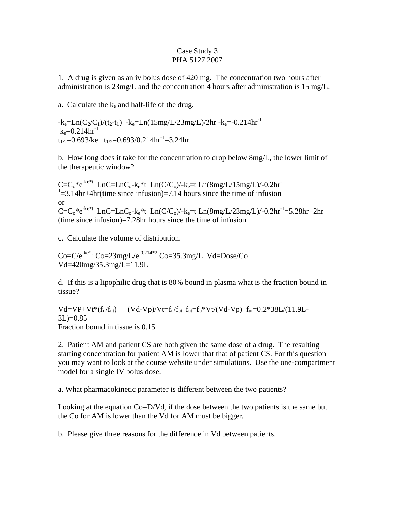## Case Study 3 PHA 5127 2007

1. A drug is given as an iv bolus dose of 420 mg. The concentration two hours after administration is 23mg/L and the concentration 4 hours after administration is 15 mg/L.

a. Calculate the  $k_e$  and half-life of the drug.

 $-k_e=Ln(C_2/C_1)/(t_2-t_1)$   $-k_e=Ln(15mg/L/23mg/L)/2hr$   $-k_e=0.214hr^{-1}$  $k_e=0.214hr^{-1}$  $t_{1/2}=0.693$ /ke  $t_{1/2}=0.693/0.214$ hr<sup>-1</sup>=3.24hr

b. How long does it take for the concentration to drop below 8mg/L, the lower limit of the therapeutic window?

 $C=C_0^*e^{-ke^*t}$  LnC=LnC<sub>0</sub>-k<sub>e</sub>\*t Ln(C/C<sub>0</sub>)/-k<sub>e</sub>=t Ln(8mg/L/15mg/L)/-0.2hr  $1 = 3.14$ hr+4hr(time since infusion)=7.14 hours since the time of infusion or  $C=C_0^*e^{-ke^*t}$  LnC=LnC<sub>0</sub>-k<sub>e</sub><sup>\*t</sup> Ln(C/C<sub>0</sub>)/-k<sub>e</sub>=t Ln(8mg/L/23mg/L)/-0.2hr<sup>-1</sup>=5.28hr+2hr (time since infusion)=7.28hr hours since the time of infusion

c. Calculate the volume of distribution.

 $Co=C/e^{-ke^{*}t}$   $Co=23mg/L/e^{-0.214*2}$   $Co=35.3mg/L$   $Vd=Dose/Co$ Vd=420mg/35.3mg/L=11.9L

d. If this is a lipophilic drug that is 80% bound in plasma what is the fraction bound in tissue?

 $Vd=VP+Vt*(f<sub>u</sub>/f<sub>ut</sub>)$  (Vd-Vp)/Vt=f<sub>u</sub>/f<sub>ut</sub> f<sub>ut</sub>=f<sub>u</sub>\*Vt/(Vd-Vp) f<sub>ut</sub>=0.2\*38L/(11.9L- $3L$ =0.85 Fraction bound in tissue is 0.15

2. Patient AM and patient CS are both given the same dose of a drug. The resulting starting concentration for patient AM is lower that that of patient CS. For this question you may want to look at the course website under simulations. Use the one-compartment model for a single IV bolus dose.

a. What pharmacokinetic parameter is different between the two patients?

Looking at the equation Co=D/Vd, if the dose between the two patients is the same but the Co for AM is lower than the Vd for AM must be bigger.

b. Please give three reasons for the difference in Vd between patients.